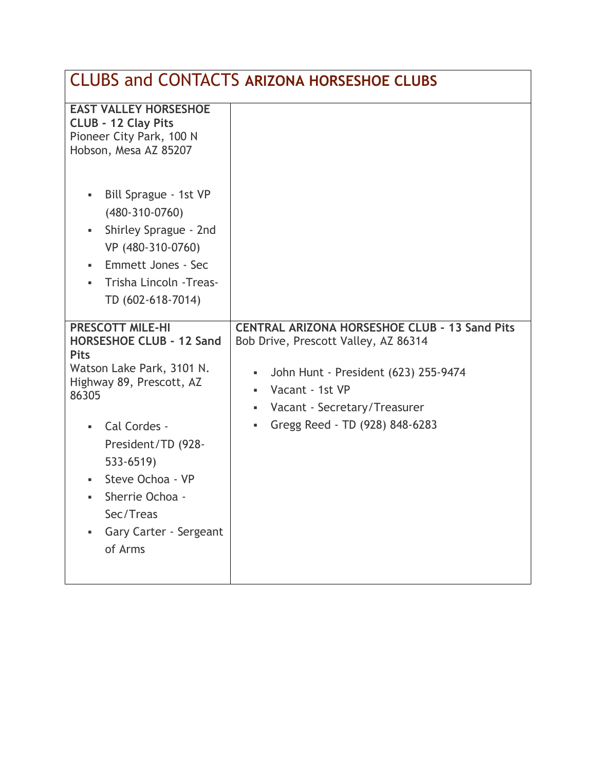| <b>CLUBS and CONTACTS ARIZONA HORSESHOE CLUBS</b>                                                                                                                                                                                                                                            |                                                                                                                                                                                                                                                              |
|----------------------------------------------------------------------------------------------------------------------------------------------------------------------------------------------------------------------------------------------------------------------------------------------|--------------------------------------------------------------------------------------------------------------------------------------------------------------------------------------------------------------------------------------------------------------|
| <b>EAST VALLEY HORSESHOE</b><br><b>CLUB - 12 Clay Pits</b><br>Pioneer City Park, 100 N<br>Hobson, Mesa AZ 85207<br>Bill Sprague - 1st VP<br>٠                                                                                                                                                |                                                                                                                                                                                                                                                              |
| $(480-310-0760)$<br>Shirley Sprague - 2nd<br>٠<br>VP (480-310-0760)<br><b>Emmett Jones - Sec</b><br>٠<br>Trisha Lincoln - Treas-<br>٠.<br>TD (602-618-7014)                                                                                                                                  |                                                                                                                                                                                                                                                              |
| <b>PRESCOTT MILE-HI</b><br><b>HORSESHOE CLUB - 12 Sand</b><br><b>Pits</b><br>Watson Lake Park, 3101 N.<br>Highway 89, Prescott, AZ<br>86305<br>Cal Cordes -<br>٠<br>President/TD (928-<br>533-6519)<br>Steve Ochoa - VP<br>Sherrie Ochoa -<br>Sec/Treas<br>Gary Carter - Sergeant<br>of Arms | <b>CENTRAL ARIZONA HORSESHOE CLUB - 13 Sand Pits</b><br>Bob Drive, Prescott Valley, AZ 86314<br>John Hunt - President (623) 255-9474<br>$\blacksquare$<br>Vacant - 1st VP<br>٠<br>Vacant - Secretary/Treasurer<br>g,<br>Gregg Reed - TD (928) 848-6283<br>g, |